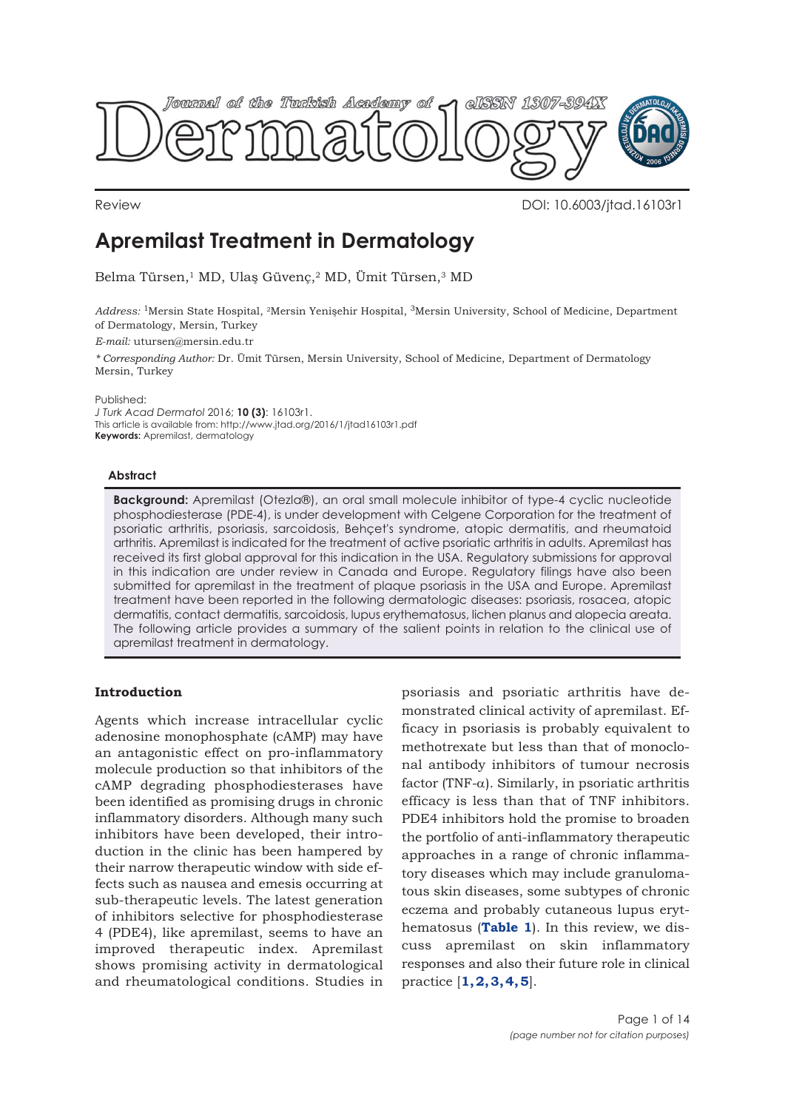

Review DOI: 10.6003/jtad.16103r1

# **Apremilast Treatment in Dermatology**

Belma Türsen,1 MD, Ulaş Güvenç,2 MD, Ümit Türsen,3 MD

*Address:* 1Mersin State Hospital, 2Mersin Yenişehir Hospital, 3Mersin University, School of Medicine, Department of Dermatology, Mersin, Turkey

*E-mail:* utursen@mersin.edu.tr

*\* Corresponding Author:* Dr. Ümit Türsen, Mersin University, School of Medicine, Department of Dermatology Mersin, Turkey

Published:

*J Turk Acad Dermatol* 2016; **10 (3)**: 16103r1. This article is available from: http://www.jtad.org/2016/1/jtad16103r1.pdf **Keywords:** Apremilast, dermatology

## **Abstract**

**Background:** Apremilast (Otezla®), an oral small molecule inhibitor of type-4 cyclic nucleotide phosphodiesterase (PDE-4), is under development with Celgene Corporation for the treatment of psoriatic arthritis, psoriasis, sarcoidosis, Behçet's syndrome, atopic dermatitis, and rheumatoid arthritis. Apremilast is indicated for the treatment of active psoriatic arthritis in adults. Apremilast has received its first global approval for this indication in the USA. Regulatory submissions for approval in this indication are under review in Canada and Europe. Regulatory filings have also been submitted for apremilast in the treatment of plaque psoriasis in the USA and Europe. Apremilast treatment have been reported in the following dermatologic diseases: psoriasis, rosacea, atopic dermatitis, contact dermatitis, sarcoidosis, lupus erythematosus, lichen planus and alopecia areata. The following article provides a summary of the salient points in relation to the clinical use of apremilast treatment in dermatology.

# **Introduction**

Agents which increase intracellular cyclic adenosine monophosphate (cAMP) may have an antagonistic effect on pro-inflammatory molecule production so that inhibitors of the cAMP degrading phosphodiesterases have been identified as promising drugs in chronic inflammatory disorders. Although many such inhibitors have been developed, their introduction in the clinic has been hampered by their narrow therapeutic window with side effects such as nausea and emesis occurring at sub-therapeutic levels. The latest generation of inhibitors selective for phosphodiesterase 4 (PDE4), like apremilast, seems to have an improved therapeutic index. Apremilast shows promising activity in dermatological and rheumatological conditions. Studies in

psoriasis and psoriatic arthritis have demonstrated clinical activity of apremilast. Efficacy in psoriasis is probably equivalent to methotrexate but less than that of monoclonal antibody inhibitors of tumour necrosis factor (TNF- $\alpha$ ). Similarly, in psoriatic arthritis efficacy is less than that of TNF inhibitors. PDE4 inhibitors hold the promise to broaden the portfolio of anti-inflammatory therapeutic approaches in a range of chronic inflammatory diseases which may include granulomatous skin diseases, some subtypes of chronic eczema and probably cutaneous lupus erythematosus (**[Table 1](#page-1-0)**). In this review, we discuss apremilast on skin inflammatory responses and also their future role in clinical practice [**[1, 2,](#page-11-0) [3, 4, 5](#page-12-0)**].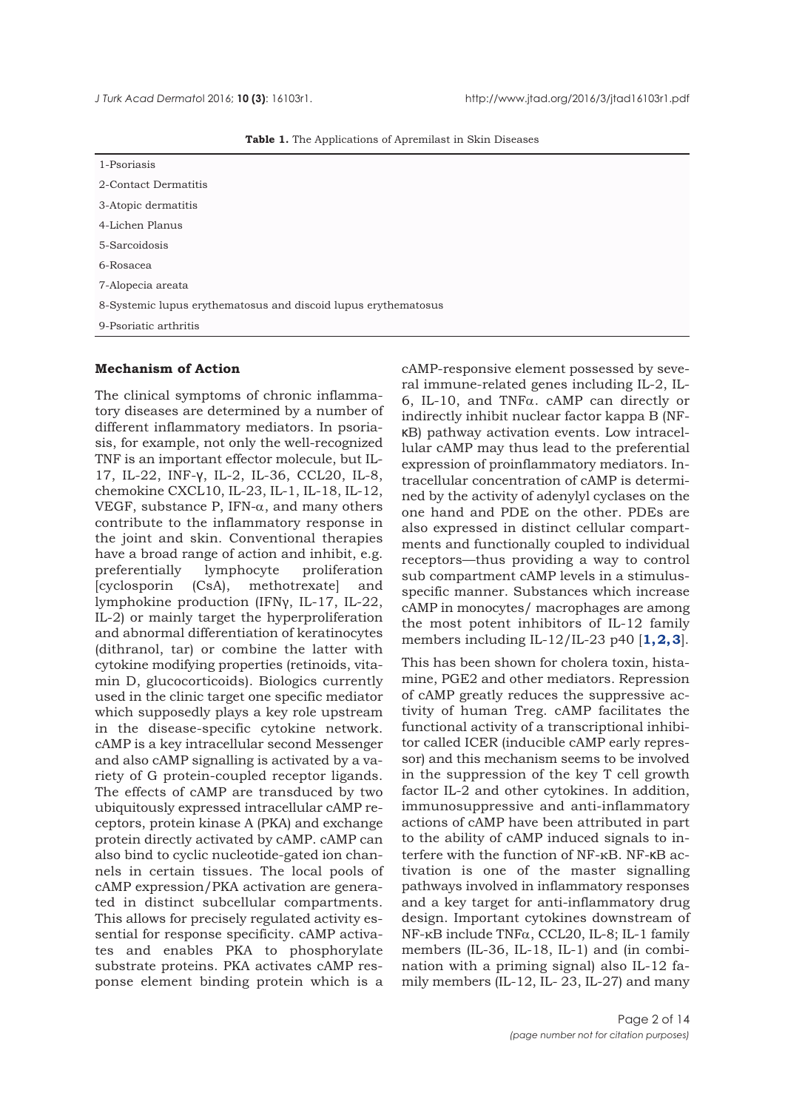|  | Table 1. The Applications of Apremilast in Skin Diseases |  |
|--|----------------------------------------------------------|--|
|  |                                                          |  |

<span id="page-1-0"></span>

| 1-Psoriasis                                                    |  |  |
|----------------------------------------------------------------|--|--|
| 2-Contact Dermatitis                                           |  |  |
| 3-Atopic dermatitis                                            |  |  |
| 4-Lichen Planus                                                |  |  |
| 5-Sarcoidosis                                                  |  |  |
| 6-Rosacea                                                      |  |  |
| 7-Alopecia areata                                              |  |  |
| 8-Systemic lupus erythematosus and discoid lupus erythematosus |  |  |
| 9-Psoriatic arthritis                                          |  |  |

## **Mechanism of Action**

The clinical symptoms of chronic inflammatory diseases are determined by a number of different inflammatory mediators. In psoriasis, for example, not only the well-recognized TNF is an important effector molecule, but IL-17, IL-22, INF-γ, IL-2, IL-36, CCL20, IL-8, chemokine CXCL10, IL-23, IL-1, IL-18, IL-12, VEGF, substance P, IFN-α, and many others contribute to the inflammatory response in the joint and skin. Conventional therapies have a broad range of action and inhibit, e.g. preferentially lymphocyte proliferation [cyclosporin (CsA), methotrexate] and lymphokine production (IFNγ, IL-17, IL-22, IL-2) or mainly target the hyperproliferation and abnormal differentiation of keratinocytes (dithranol, tar) or combine the latter with cytokine modifying properties (retinoids, vitamin D, glucocorticoids). Biologics currently used in the clinic target one specific mediator which supposedly plays a key role upstream in the disease-specific cytokine network. cAMP is a key intracellular second Messenger and also cAMP signalling is activated by a variety of G protein-coupled receptor ligands. The effects of cAMP are transduced by two ubiquitously expressed intracellular cAMP receptors, protein kinase A (PKA) and exchange protein directly activated by cAMP. cAMP can also bind to cyclic nucleotide-gated ion channels in certain tissues. The local pools of cAMP expression/PKA activation are generated in distinct subcellular compartments. This allows for precisely regulated activity essential for response specificity. cAMP activates and enables PKA to phosphorylate substrate proteins. PKA activates cAMP response element binding protein which is a

cAMP-responsive element possessed by several immune-related genes including IL-2, IL-6, IL-10, and TNFα. cAMP can directly or indirectly inhibit nuclear factor kappa B (NFκB) pathway activation events. Low intracellular cAMP may thus lead to the preferential expression of proinflammatory mediators. Intracellular concentration of cAMP is determined by the activity of adenylyl cyclases on the one hand and PDE on the other. PDEs are also expressed in distinct cellular compartments and functionally coupled to individual receptors—thus providing a way to control sub compartment cAMP levels in a stimulusspecific manner. Substances which increase cAMP in monocytes/ macrophages are among the most potent inhibitors of IL-12 family members including IL-12/IL-23 p40 [**[1, 2, 3](#page-11-0)**].

This has been shown for cholera toxin, histamine, PGE2 and other mediators. Repression of cAMP greatly reduces the suppressive activity of human Treg. cAMP facilitates the functional activity of a transcriptional inhibitor called ICER (inducible cAMP early repressor) and this mechanism seems to be involved in the suppression of the key T cell growth factor IL-2 and other cytokines. In addition, immunosuppressive and anti-inflammatory actions of cAMP have been attributed in part to the ability of cAMP induced signals to interfere with the function of NF-κB. NF-κB activation is one of the master signalling pathways involved in inflammatory responses and a key target for anti-inflammatory drug design. Important cytokines downstream of NF-κB include TNFα, CCL20, IL-8; IL-1 family members (IL-36, IL-18, IL-1) and (in combination with a priming signal) also IL-12 family members (IL-12, IL- 23, IL-27) and many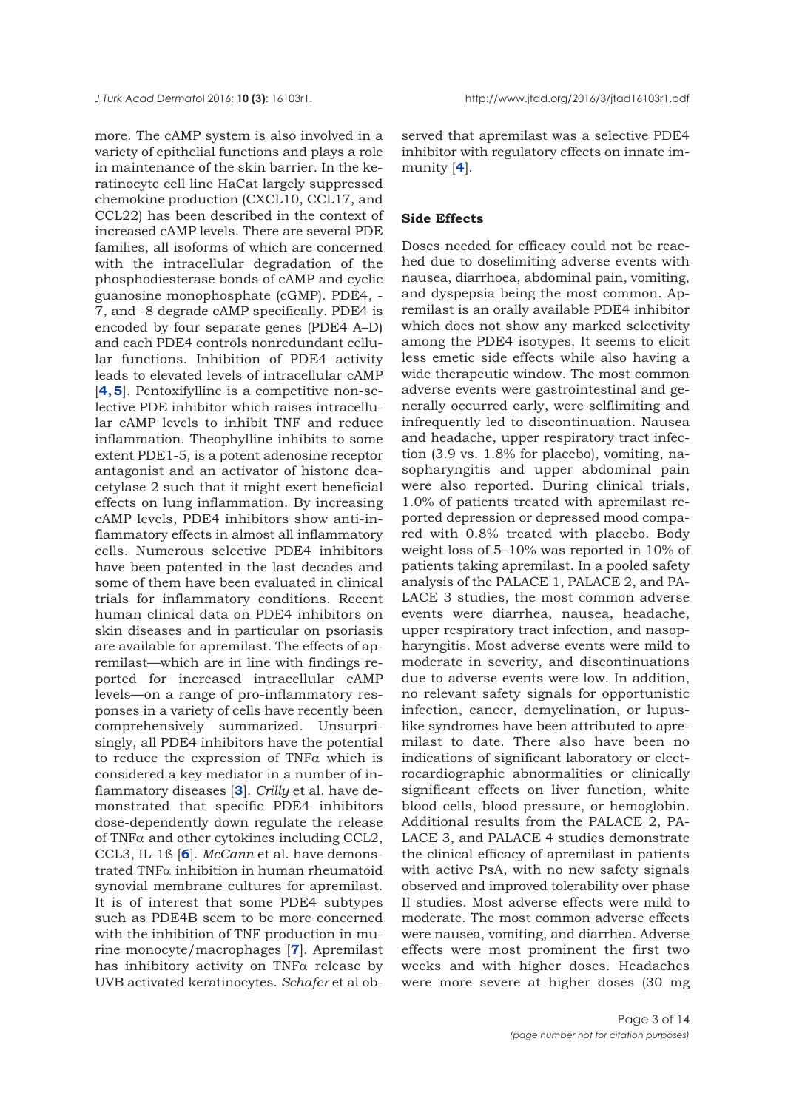more. The cAMP system is also involved in a variety of epithelial functions and plays a role in maintenance of the skin barrier. In the keratinocyte cell line HaCat largely suppressed chemokine production (CXCL10, CCL17, and CCL22) has been described in the context of increased cAMP levels. There are several PDE families, all isoforms of which are concerned with the intracellular degradation of the phosphodiesterase bonds of cAMP and cyclic guanosine monophosphate (cGMP). PDE4, - 7, and -8 degrade cAMP specifically. PDE4 is encoded by four separate genes (PDE4 A–D) and each PDE4 controls nonredundant cellular functions. Inhibition of PDE4 activity leads to elevated levels of intracellular cAMP [**[4, 5](#page-12-0)**]. Pentoxifylline is a competitive non-selective PDE inhibitor which raises intracellular cAMP levels to inhibit TNF and reduce inflammation. Theophylline inhibits to some extent PDE1-5, is a potent adenosine receptor antagonist and an activator of histone deacetylase 2 such that it might exert beneficial effects on lung inflammation. By increasing cAMP levels, PDE4 inhibitors show anti-inflammatory effects in almost all inflammatory cells. Numerous selective PDE4 inhibitors have been patented in the last decades and some of them have been evaluated in clinical trials for inflammatory conditions. Recent human clinical data on PDE4 inhibitors on skin diseases and in particular on psoriasis are available for apremilast. The effects of apremilast—which are in line with findings reported for increased intracellular cAMP levels—on a range of pro-inflammatory responses in a variety of cells have recently been comprehensively summarized. Unsurprisingly, all PDE4 inhibitors have the potential to reduce the expression of TNF $\alpha$  which is considered a key mediator in a number of inflammatory diseases [**[3](#page-11-0)**]. *Crilly* et al. have demonstrated that specific PDE4 inhibitors dose-dependently down regulate the release of TNFα and other cytokines including CCL2, CCL3, IL-1ß [**[6](#page-12-0)**]. *McCann* et al. have demonstrated TNFα inhibition in human rheumatoid synovial membrane cultures for apremilast. It is of interest that some PDE4 subtypes such as PDE4B seem to be more concerned with the inhibition of TNF production in murine monocyte/macrophages [**[7](#page-12-0)**]. Apremilast has inhibitory activity on TNF $\alpha$  release by UVB activated keratinocytes. *Schafer* et al ob-

served that apremilast was a selective PDE4 inhibitor with regulatory effects on innate immunity [**[4](#page-12-0)**].

### **Side Effects**

Doses needed for efficacy could not be reached due to doselimiting adverse events with nausea, diarrhoea, abdominal pain, vomiting, and dyspepsia being the most common. Apremilast is an orally available PDE4 inhibitor which does not show any marked selectivity among the PDE4 isotypes. It seems to elicit less emetic side effects while also having a wide therapeutic window. The most common adverse events were gastrointestinal and generally occurred early, were selflimiting and infrequently led to discontinuation. Nausea and headache, upper respiratory tract infection (3.9 vs. 1.8% for placebo), vomiting, nasopharyngitis and upper abdominal pain were also reported. During clinical trials, 1.0% of patients treated with apremilast reported depression or depressed mood compared with 0.8% treated with placebo. Body weight loss of 5–10% was reported in 10% of patients taking apremilast. In a pooled safety analysis of the PALACE 1, PALACE 2, and PA-LACE 3 studies, the most common adverse events were diarrhea, nausea, headache, upper respiratory tract infection, and nasopharyngitis. Most adverse events were mild to moderate in severity, and discontinuations due to adverse events were low. In addition, no relevant safety signals for opportunistic infection, cancer, demyelination, or lupuslike syndromes have been attributed to apremilast to date. There also have been no indications of significant laboratory or electrocardiographic abnormalities or clinically significant effects on liver function, white blood cells, blood pressure, or hemoglobin. Additional results from the PALACE 2, PA-LACE 3, and PALACE 4 studies demonstrate the clinical efficacy of apremilast in patients with active PsA, with no new safety signals observed and improved tolerability over phase II studies. Most adverse effects were mild to moderate. The most common adverse effects were nausea, vomiting, and diarrhea. Adverse effects were most prominent the first two weeks and with higher doses. Headaches were more severe at higher doses (30 mg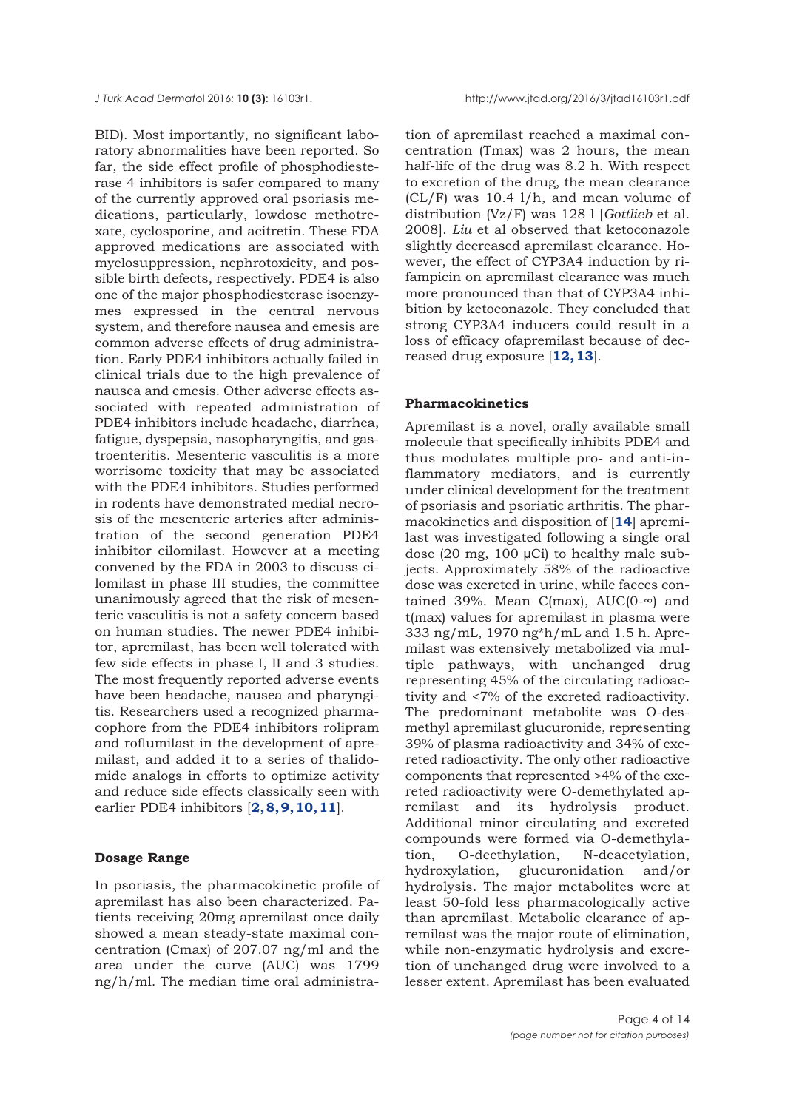BID). Most importantly, no significant laboratory abnormalities have been reported. So far, the side effect profile of phosphodiesterase 4 inhibitors is safer compared to many of the currently approved oral psoriasis medications, particularly, lowdose methotrexate, cyclosporine, and acitretin. These FDA approved medications are associated with myelosuppression, nephrotoxicity, and possible birth defects, respectively. PDE4 is also one of the major phosphodiesterase isoenzymes expressed in the central nervous system, and therefore nausea and emesis are common adverse effects of drug administration. Early PDE4 inhibitors actually failed in clinical trials due to the high prevalence of nausea and emesis. Other adverse effects associated with repeated administration of PDE4 inhibitors include headache, diarrhea, fatigue, dyspepsia, nasopharyngitis, and gastroenteritis. Mesenteric vasculitis is a more worrisome toxicity that may be associated with the PDE4 inhibitors. Studies performed in rodents have demonstrated medial necrosis of the mesenteric arteries after administration of the second generation PDE4 inhibitor cilomilast. However at a meeting convened by the FDA in 2003 to discuss cilomilast in phase III studies, the committee unanimously agreed that the risk of mesenteric vasculitis is not a safety concern based on human studies. The newer PDE4 inhibitor, apremilast, has been well tolerated with few side effects in phase I, II and 3 studies. The most frequently reported adverse events have been headache, nausea and pharyngitis. Researchers used a recognized pharmacophore from the PDE4 inhibitors rolipram and roflumilast in the development of apremilast, and added it to a series of thalidomide analogs in efforts to optimize activity and reduce side effects classically seen with earlier PDE4 inhibitors [**[2,](#page-11-0) [8, 9, 10, 11](#page-12-0)**].

## **Dosage Range**

In psoriasis, the pharmacokinetic profile of apremilast has also been characterized. Patients receiving 20mg apremilast once daily showed a mean steady-state maximal concentration (Cmax) of 207.07 ng/ml and the area under the curve (AUC) was 1799 ng/h/ml. The median time oral administration of apremilast reached a maximal concentration (Tmax) was 2 hours, the mean half-life of the drug was 8.2 h. With respect to excretion of the drug, the mean clearance (CL/F) was 10.4 l/h, and mean volume of distribution (Vz/F) was 128 l [*Gottlieb* et al. 2008]. *Liu* et al observed that ketoconazole slightly decreased apremilast clearance. However, the effect of CYP3A4 induction by rifampicin on apremilast clearance was much more pronounced than that of CYP3A4 inhibition by ketoconazole. They concluded that strong CYP3A4 inducers could result in a loss of efficacy ofapremilast because of decreased drug exposure [**[12, 13](#page-12-0)**].

## **Pharmacokinetics**

Apremilast is a novel, orally available small molecule that specifically inhibits PDE4 and thus modulates multiple pro- and anti-inflammatory mediators, and is currently under clinical development for the treatment of psoriasis and psoriatic arthritis. The pharmacokinetics and disposition of [**[14](#page-12-0)**] apremilast was investigated following a single oral dose (20 mg, 100 μCi) to healthy male subjects. Approximately 58% of the radioactive dose was excreted in urine, while faeces contained 39%. Mean C(max),  $AUC(0-∞)$  and t(max) values for apremilast in plasma were 333 ng/mL, 1970 ng\*h/mL and 1.5 h. Apremilast was extensively metabolized via multiple pathways, with unchanged drug representing 45% of the circulating radioactivity and <7% of the excreted radioactivity. The predominant metabolite was O-desmethyl apremilast glucuronide, representing 39% of plasma radioactivity and 34% of excreted radioactivity. The only other radioactive components that represented >4% of the excreted radioactivity were O-demethylated ap-<br>remilast and its hydrolysis product. remilast and its hydrolysis Additional minor circulating and excreted compounds were formed via O-demethylation, O-deethylation, N-deacetylation, hydroxylation, glucuronidation and/or hydrolysis. The major metabolites were at least 50-fold less pharmacologically active than apremilast. Metabolic clearance of apremilast was the major route of elimination, while non-enzymatic hydrolysis and excretion of unchanged drug were involved to a lesser extent. Apremilast has been evaluated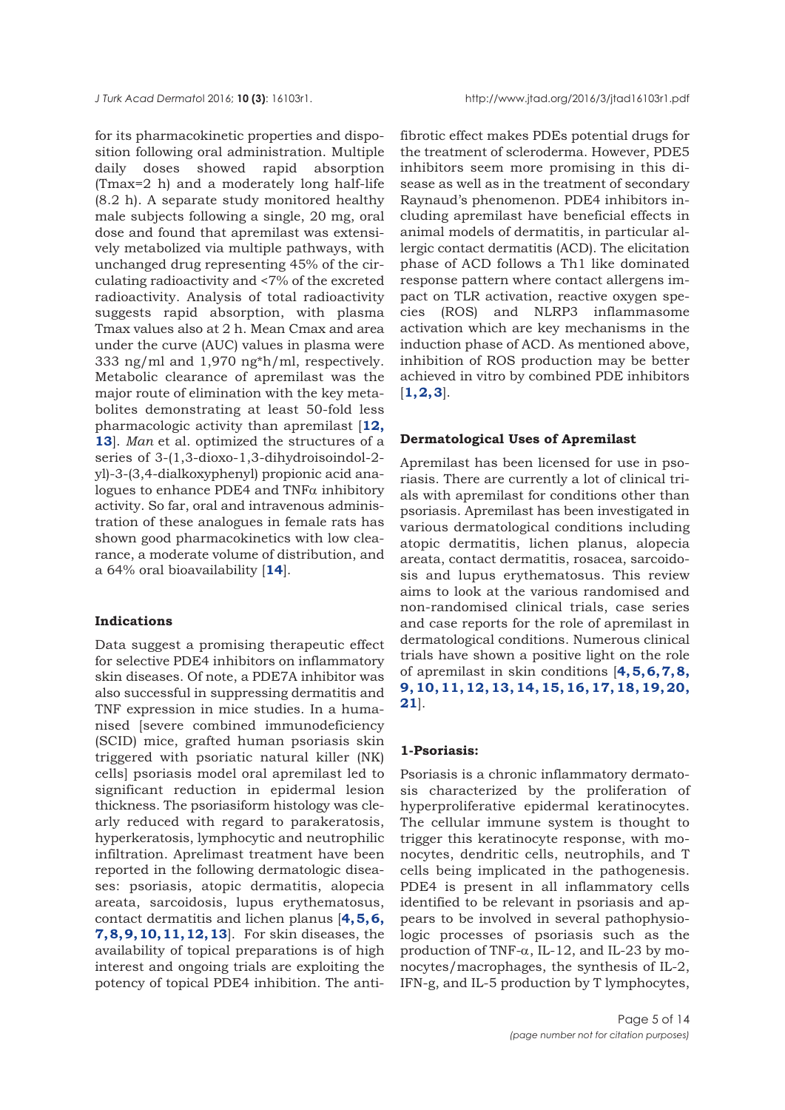for its pharmacokinetic properties and disposition following oral administration. Multiple daily doses showed rapid absorption (Tmax=2 h) and a moderately long half-life (8.2 h). A separate study monitored healthy male subjects following a single, 20 mg, oral dose and found that apremilast was extensively metabolized via multiple pathways, with unchanged drug representing 45% of the circulating radioactivity and <7% of the excreted radioactivity. Analysis of total radioactivity suggests rapid absorption, with plasma Tmax values also at 2 h. Mean Cmax and area under the curve (AUC) values in plasma were 333 ng/ml and 1,970 ng\*h/ml, respectively. Metabolic clearance of apremilast was the major route of elimination with the key metabolites demonstrating at least 50-fold less pharmacologic activity than apremilast [**[12,](#page-12-0) [13](#page-12-0)**]. *Man* et al. optimized the structures of a series of 3-(1,3-dioxo-1,3-dihydroisoindol-2 yl)-3-(3,4-dialkoxyphenyl) propionic acid analogues to enhance PDE4 and  $TNF\alpha$  inhibitory activity. So far, oral and intravenous administration of these analogues in female rats has shown good pharmacokinetics with low clearance, a moderate volume of distribution, and a 64% oral bioavailability [**[14](#page-12-0)**].

#### **Indications**

Data suggest a promising therapeutic effect for selective PDE4 inhibitors on inflammatory skin diseases. Of note, a PDE7A inhibitor was also successful in suppressing dermatitis and TNF expression in mice studies. In a humanised [severe combined immunodeficiency (SCID) mice, grafted human psoriasis skin triggered with psoriatic natural killer (NK) cells] psoriasis model oral apremilast led to significant reduction in epidermal lesion thickness. The psoriasiform histology was clearly reduced with regard to parakeratosis, hyperkeratosis, lymphocytic and neutrophilic infiltration. Aprelimast treatment have been reported in the following dermatologic diseases: psoriasis, atopic dermatitis, alopecia areata, sarcoidosis, lupus erythematosus, contact dermatitis and lichen planus [**4, 5, 6, 7, 8, 9, 10, 11, 12, 13**]. For skin diseases, the availability of topical preparations is of high interest and ongoing trials are exploiting the potency of topical PDE4 inhibition. The anti-

fibrotic effect makes PDEs potential drugs for the treatment of scleroderma. However, PDE5 inhibitors seem more promising in this disease as well as in the treatment of secondary Raynaud's phenomenon. PDE4 inhibitors including apremilast have beneficial effects in animal models of dermatitis, in particular allergic contact dermatitis (ACD). The elicitation phase of ACD follows a Th1 like dominated response pattern where contact allergens impact on TLR activation, reactive oxygen species (ROS) and NLRP3 inflammasome activation which are key mechanisms in the induction phase of ACD. As mentioned above, inhibition of ROS production may be better achieved in vitro by combined PDE inhibitors  $[1, 2, 3]$  $[1, 2, 3]$  $[1, 2, 3]$  $[1, 2, 3]$ .

#### **Dermatological Uses of Apremilast**

Apremilast has been licensed for use in psoriasis. There are currently a lot of clinical trials with apremilast for conditions other than psoriasis. Apremilast has been investigated in various dermatological conditions including atopic dermatitis, lichen planus, alopecia areata, contact dermatitis, rosacea, sarcoidosis and lupus erythematosus. This review aims to look at the various randomised and non-randomised clinical trials, case series and case reports for the role of apremilast in dermatological conditions. Numerous clinical trials have shown a positive light on the role of apremilast in skin conditions [**[4, 5, 6, 7, 8,](#page-12-0) [9, 10, 11, 12, 13, 14, 15, 16, 17, 18, 19, 20,](#page-12-0) [21](#page-12-0)**].

#### **1-Psoriasis:**

Psoriasis is a chronic inflammatory dermatosis characterized by the proliferation of hyperproliferative epidermal keratinocytes. The cellular immune system is thought to trigger this keratinocyte response, with monocytes, dendritic cells, neutrophils, and T cells being implicated in the pathogenesis. PDE4 is present in all inflammatory cells identified to be relevant in psoriasis and appears to be involved in several pathophysiologic processes of psoriasis such as the production of TNF- $\alpha$ , IL-12, and IL-23 by monocytes/macrophages, the synthesis of IL-2, IFN-g, and IL-5 production by T lymphocytes,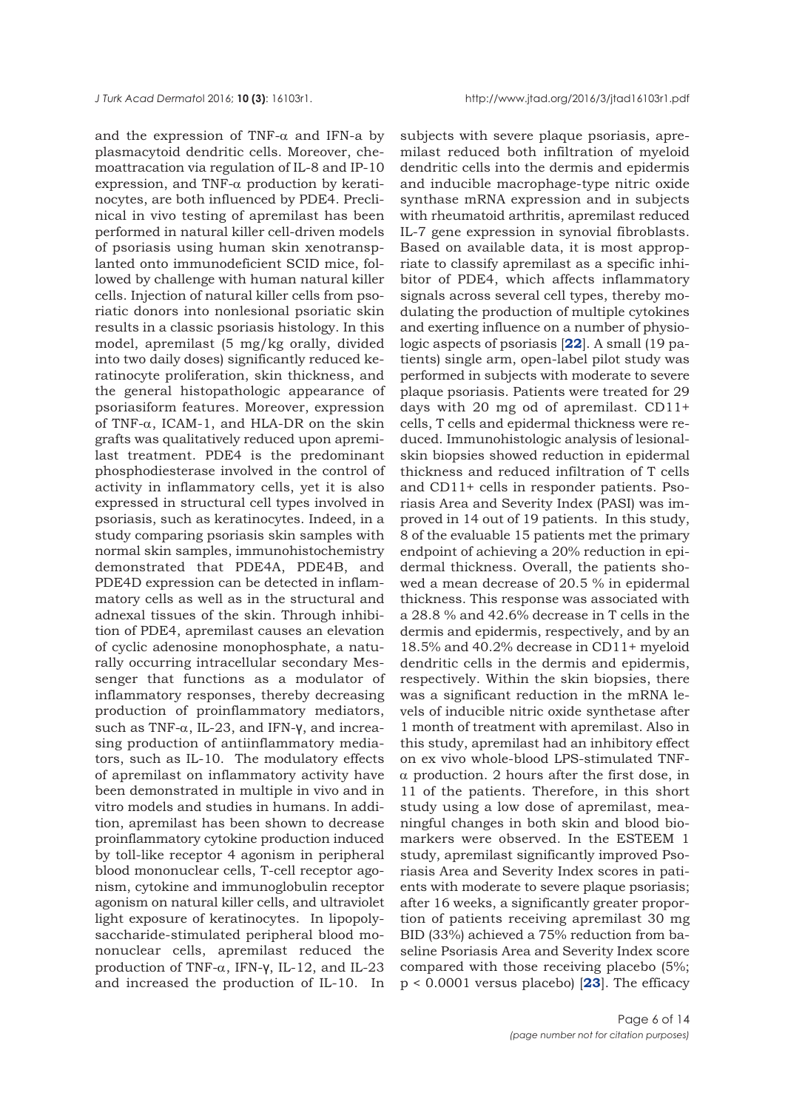and the expression of TNF- $\alpha$  and IFN-a by plasmacytoid dendritic cells. Moreover, chemoattracation via regulation of IL-8 and IP-10 expression, and TNF- $\alpha$  production by keratinocytes, are both influenced by PDE4. Preclinical in vivo testing of apremilast has been performed in natural killer cell-driven models of psoriasis using human skin xenotransplanted onto immunodeficient SCID mice, followed by challenge with human natural killer cells. Injection of natural killer cells from psoriatic donors into nonlesional psoriatic skin results in a classic psoriasis histology. In this model, apremilast (5 mg/kg orally, divided into two daily doses) significantly reduced keratinocyte proliferation, skin thickness, and the general histopathologic appearance of psoriasiform features. Moreover, expression of TNF-α, ICAM-1, and HLA-DR on the skin grafts was qualitatively reduced upon apremilast treatment. PDE4 is the predominant phosphodiesterase involved in the control of activity in inflammatory cells, yet it is also expressed in structural cell types involved in psoriasis, such as keratinocytes. Indeed, in a study comparing psoriasis skin samples with normal skin samples, immunohistochemistry demonstrated that PDE4A, PDE4B, and PDE4D expression can be detected in inflammatory cells as well as in the structural and adnexal tissues of the skin. Through inhibition of PDE4, apremilast causes an elevation of cyclic adenosine monophosphate, a naturally occurring intracellular secondary Messenger that functions as a modulator of inflammatory responses, thereby decreasing production of proinflammatory mediators, such as TNF-α, IL-23, and IFN-γ, and increasing production of antiinflammatory mediators, such as IL-10. The modulatory effects of apremilast on inflammatory activity have been demonstrated in multiple in vivo and in vitro models and studies in humans. In addition, apremilast has been shown to decrease proinflammatory cytokine production induced by toll-like receptor 4 agonism in peripheral blood mononuclear cells, T-cell receptor agonism, cytokine and immunoglobulin receptor agonism on natural killer cells, and ultraviolet light exposure of keratinocytes. In lipopolysaccharide-stimulated peripheral blood mononuclear cells, apremilast reduced the production of TNF-α, IFN-γ, IL-12, and IL-23 and increased the production of IL-10. In

subjects with severe plaque psoriasis, apremilast reduced both infiltration of myeloid dendritic cells into the dermis and epidermis and inducible macrophage-type nitric oxide synthase mRNA expression and in subjects with rheumatoid arthritis, apremilast reduced IL-7 gene expression in synovial fibroblasts. Based on available data, it is most appropriate to classify apremilast as a specific inhibitor of PDE4, which affects inflammatory signals across several cell types, thereby modulating the production of multiple cytokines and exerting influence on a number of physiologic aspects of psoriasis [**[22](#page-12-0)**]. A small (19 patients) single arm, open-label pilot study was performed in subjects with moderate to severe plaque psoriasis. Patients were treated for 29 days with 20 mg od of apremilast. CD11+ cells, T cells and epidermal thickness were reduced. Immunohistologic analysis of lesionalskin biopsies showed reduction in epidermal thickness and reduced infiltration of T cells and CD11+ cells in responder patients. Psoriasis Area and Severity Index (PASI) was improved in 14 out of 19 patients. In this study, 8 of the evaluable 15 patients met the primary endpoint of achieving a 20% reduction in epidermal thickness. Overall, the patients showed a mean decrease of 20.5 % in epidermal thickness. This response was associated with a 28.8 % and 42.6% decrease in T cells in the dermis and epidermis, respectively, and by an 18.5% and 40.2% decrease in CD11+ myeloid dendritic cells in the dermis and epidermis, respectively. Within the skin biopsies, there was a significant reduction in the mRNA levels of inducible nitric oxide synthetase after 1 month of treatment with apremilast. Also in this study, apremilast had an inhibitory effect on ex vivo whole-blood LPS-stimulated TNFα production. 2 hours after the first dose, in 11 of the patients. Therefore, in this short study using a low dose of apremilast, meaningful changes in both skin and blood biomarkers were observed. In the ESTEEM 1 study, apremilast significantly improved Psoriasis Area and Severity Index scores in patients with moderate to severe plaque psoriasis; after 16 weeks, a significantly greater proportion of patients receiving apremilast 30 mg BID (33%) achieved a 75% reduction from baseline Psoriasis Area and Severity Index score compared with those receiving placebo (5%; p < 0.0001 versus placebo) [**[23](#page-12-0)**]. The efficacy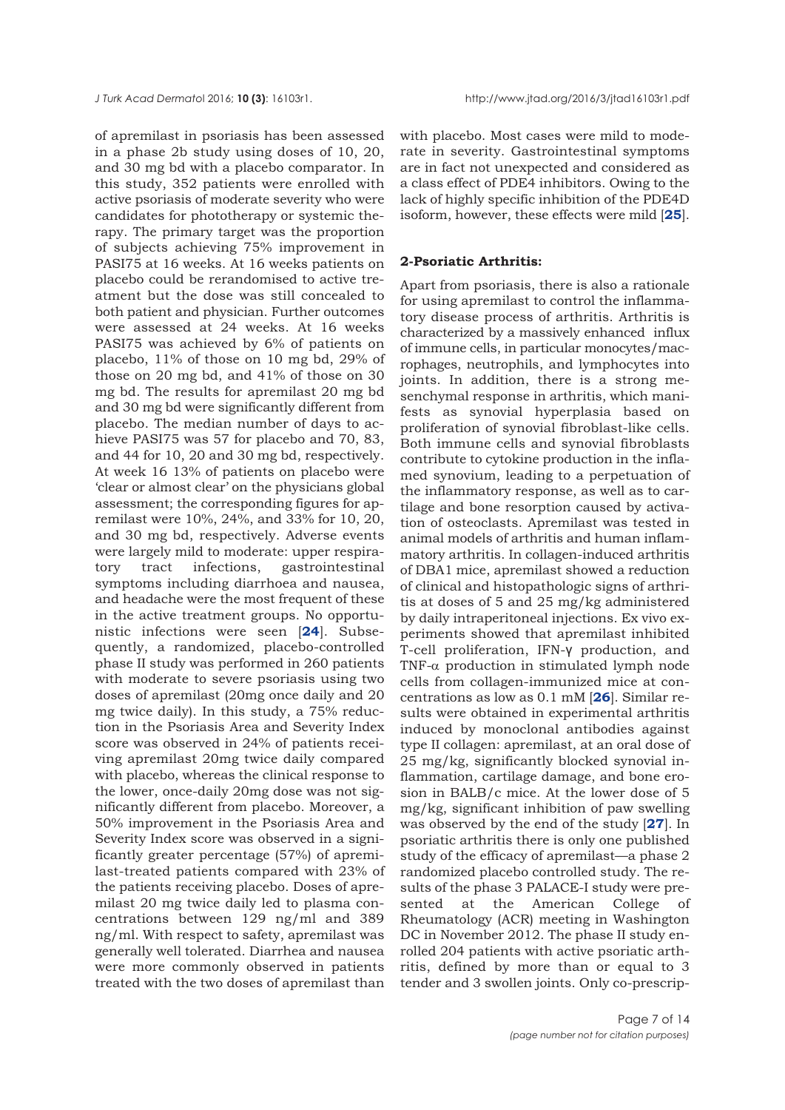of apremilast in psoriasis has been assessed in a phase 2b study using doses of 10, 20, and 30 mg bd with a placebo comparator. In this study, 352 patients were enrolled with active psoriasis of moderate severity who were candidates for phototherapy or systemic therapy. The primary target was the proportion of subjects achieving 75% improvement in PASI75 at 16 weeks. At 16 weeks patients on placebo could be rerandomised to active treatment but the dose was still concealed to both patient and physician. Further outcomes were assessed at 24 weeks. At 16 weeks PASI75 was achieved by 6% of patients on placebo, 11% of those on 10 mg bd, 29% of those on 20 mg bd, and 41% of those on 30 mg bd. The results for apremilast 20 mg bd and 30 mg bd were significantly different from placebo. The median number of days to achieve PASI75 was 57 for placebo and 70, 83, and 44 for 10, 20 and 30 mg bd, respectively. At week 16 13% of patients on placebo were 'clear or almost clear' on the physicians global assessment; the corresponding figures for apremilast were 10%, 24%, and 33% for 10, 20, and 30 mg bd, respectively. Adverse events were largely mild to moderate: upper respiratory tract infections, gastrointestinal symptoms including diarrhoea and nausea, and headache were the most frequent of these in the active treatment groups. No opportunistic infections were seen [**[24](#page-12-0)**]. Subsequently, a randomized, placebo-controlled phase II study was performed in 260 patients with moderate to severe psoriasis using two doses of apremilast (20mg once daily and 20 mg twice daily). In this study, a 75% reduction in the Psoriasis Area and Severity Index score was observed in 24% of patients receiving apremilast 20mg twice daily compared with placebo, whereas the clinical response to the lower, once-daily 20mg dose was not significantly different from placebo. Moreover, a 50% improvement in the Psoriasis Area and Severity Index score was observed in a significantly greater percentage (57%) of apremilast-treated patients compared with 23% of the patients receiving placebo. Doses of apremilast 20 mg twice daily led to plasma concentrations between 129 ng/ml and 389 ng/ml. With respect to safety, apremilast was generally well tolerated. Diarrhea and nausea were more commonly observed in patients treated with the two doses of apremilast than

with placebo. Most cases were mild to moderate in severity. Gastrointestinal symptoms are in fact not unexpected and considered as a class effect of PDE4 inhibitors. Owing to the lack of highly specific inhibition of the PDE4D isoform, however, these effects were mild [**[25](#page-12-0)**].

### **2-Psoriatic Arthritis:**

Apart from psoriasis, there is also a rationale for using apremilast to control the inflammatory disease process of arthritis. Arthritis is characterized by a massively enhanced influx of immune cells, in particular monocytes/macrophages, neutrophils, and lymphocytes into joints. In addition, there is a strong mesenchymal response in arthritis, which manifests as synovial hyperplasia based on proliferation of synovial fibroblast-like cells. Both immune cells and synovial fibroblasts contribute to cytokine production in the inflamed synovium, leading to a perpetuation of the inflammatory response, as well as to cartilage and bone resorption caused by activation of osteoclasts. Apremilast was tested in animal models of arthritis and human inflammatory arthritis. In collagen-induced arthritis of DBA1 mice, apremilast showed a reduction of clinical and histopathologic signs of arthritis at doses of 5 and 25 mg/kg administered by daily intraperitoneal injections. Ex vivo experiments showed that apremilast inhibited T-cell proliferation, IFN-γ production, and TNF-α production in stimulated lymph node cells from collagen-immunized mice at concentrations as low as 0.1 mM [**[26](#page-13-0)**]. Similar results were obtained in experimental arthritis induced by monoclonal antibodies against type II collagen: apremilast, at an oral dose of 25 mg/kg, significantly blocked synovial inflammation, cartilage damage, and bone erosion in BALB/c mice. At the lower dose of 5 mg/kg, significant inhibition of paw swelling was observed by the end of the study [**[27](#page-13-0)**]. In psoriatic arthritis there is only one published study of the efficacy of apremilast—a phase 2 randomized placebo controlled study. The results of the phase 3 PALACE-I study were presented at the American College of Rheumatology (ACR) meeting in Washington DC in November 2012. The phase II study enrolled 204 patients with active psoriatic arthritis, defined by more than or equal to 3 tender and 3 swollen joints. Only co-prescrip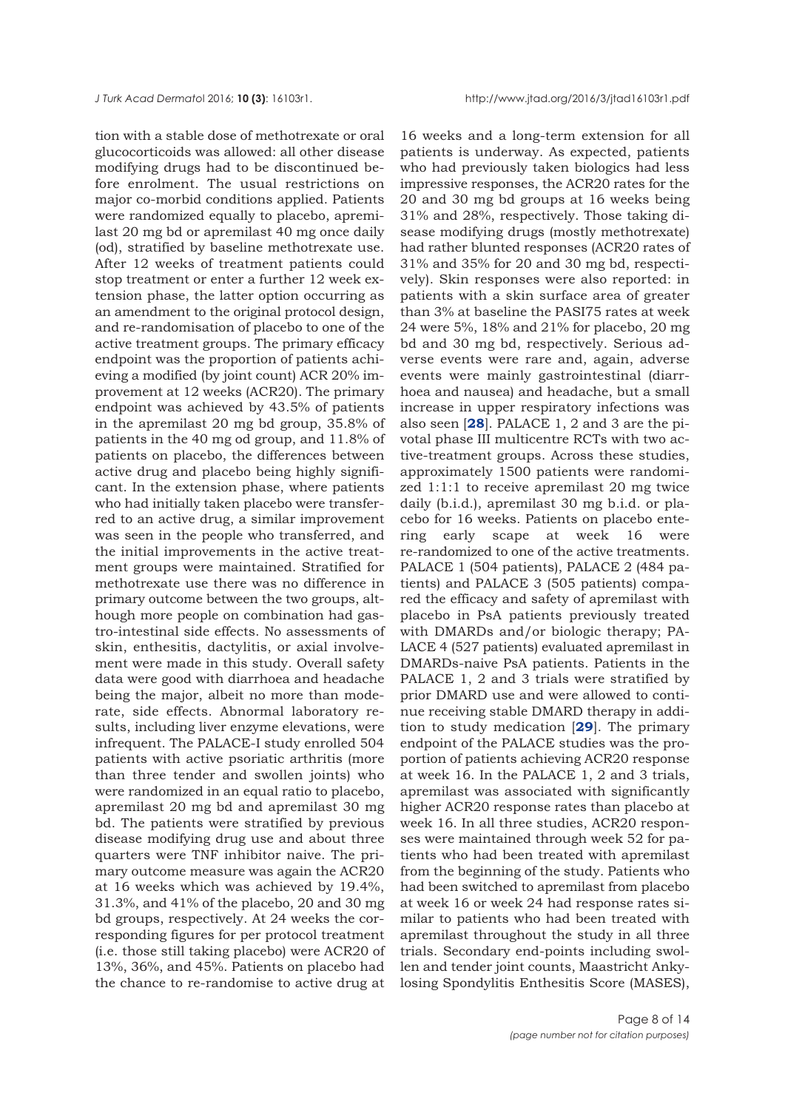tion with a stable dose of methotrexate or oral glucocorticoids was allowed: all other disease modifying drugs had to be discontinued before enrolment. The usual restrictions on major co-morbid conditions applied. Patients were randomized equally to placebo, apremilast 20 mg bd or apremilast 40 mg once daily (od), stratified by baseline methotrexate use. After 12 weeks of treatment patients could stop treatment or enter a further 12 week extension phase, the latter option occurring as an amendment to the original protocol design, and re-randomisation of placebo to one of the active treatment groups. The primary efficacy endpoint was the proportion of patients achieving a modified (by joint count) ACR 20% improvement at 12 weeks (ACR20). The primary endpoint was achieved by 43.5% of patients in the apremilast 20 mg bd group, 35.8% of patients in the 40 mg od group, and 11.8% of patients on placebo, the differences between active drug and placebo being highly significant. In the extension phase, where patients who had initially taken placebo were transferred to an active drug, a similar improvement was seen in the people who transferred, and the initial improvements in the active treatment groups were maintained. Stratified for methotrexate use there was no difference in primary outcome between the two groups, although more people on combination had gastro-intestinal side effects. No assessments of skin, enthesitis, dactylitis, or axial involvement were made in this study. Overall safety data were good with diarrhoea and headache being the major, albeit no more than moderate, side effects. Abnormal laboratory results, including liver enzyme elevations, were infrequent. The PALACE-I study enrolled 504 patients with active psoriatic arthritis (more than three tender and swollen joints) who were randomized in an equal ratio to placebo, apremilast 20 mg bd and apremilast 30 mg bd. The patients were stratified by previous disease modifying drug use and about three quarters were TNF inhibitor naive. The primary outcome measure was again the ACR20 at 16 weeks which was achieved by 19.4%, 31.3%, and 41% of the placebo, 20 and 30 mg bd groups, respectively. At 24 weeks the corresponding figures for per protocol treatment (i.e. those still taking placebo) were ACR20 of 13%, 36%, and 45%. Patients on placebo had the chance to re-randomise to active drug at

16 weeks and a long-term extension for all patients is underway. As expected, patients who had previously taken biologics had less impressive responses, the ACR20 rates for the 20 and 30 mg bd groups at 16 weeks being 31% and 28%, respectively. Those taking disease modifying drugs (mostly methotrexate) had rather blunted responses (ACR20 rates of 31% and 35% for 20 and 30 mg bd, respectively). Skin responses were also reported: in patients with a skin surface area of greater than 3% at baseline the PASI75 rates at week 24 were 5%, 18% and 21% for placebo, 20 mg bd and 30 mg bd, respectively. Serious adverse events were rare and, again, adverse events were mainly gastrointestinal (diarrhoea and nausea) and headache, but a small increase in upper respiratory infections was also seen [**[28](#page-13-0)**]. PALACE 1, 2 and 3 are the pivotal phase III multicentre RCTs with two active-treatment groups. Across these studies, approximately 1500 patients were randomized 1:1:1 to receive apremilast 20 mg twice daily (b.i.d.), apremilast 30 mg b.i.d. or placebo for 16 weeks. Patients on placebo entering early scape at week 16 were re-randomized to one of the active treatments. PALACE 1 (504 patients), PALACE 2 (484 patients) and PALACE 3 (505 patients) compared the efficacy and safety of apremilast with placebo in PsA patients previously treated with DMARDs and/or biologic therapy; PA-LACE 4 (527 patients) evaluated apremilast in DMARDs-naive PsA patients. Patients in the PALACE 1, 2 and 3 trials were stratified by prior DMARD use and were allowed to continue receiving stable DMARD therapy in addition to study medication [**[29](#page-13-0)**]. The primary endpoint of the PALACE studies was the proportion of patients achieving ACR20 response at week 16. In the PALACE 1, 2 and 3 trials, apremilast was associated with significantly higher ACR20 response rates than placebo at week 16. In all three studies, ACR20 responses were maintained through week 52 for patients who had been treated with apremilast from the beginning of the study. Patients who had been switched to apremilast from placebo at week 16 or week 24 had response rates similar to patients who had been treated with apremilast throughout the study in all three trials. Secondary end-points including swollen and tender joint counts, Maastricht Ankylosing Spondylitis Enthesitis Score (MASES),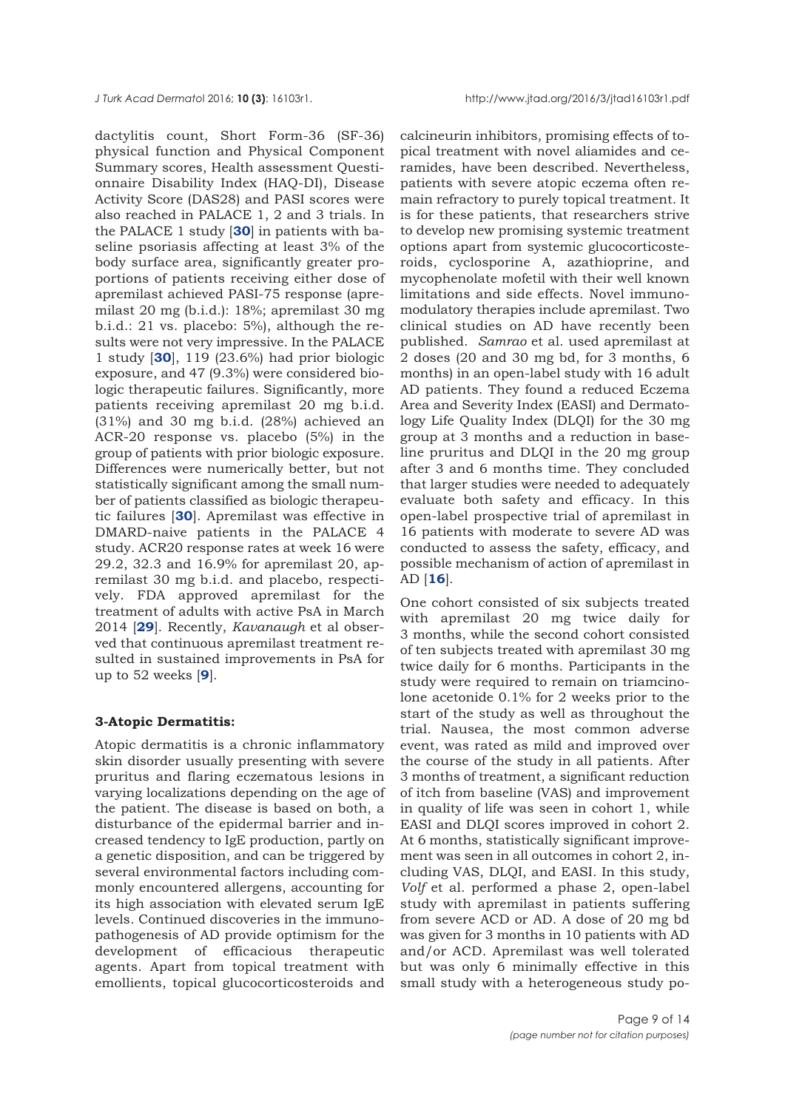dactylitis count, Short Form-36 (SF-36) physical function and Physical Component Summary scores, Health assessment Questionnaire Disability Index (HAQ-DI), Disease Activity Score (DAS28) and PASI scores were also reached in PALACE 1, 2 and 3 trials. In the PALACE 1 study [**[30](#page-13-0)**] in patients with baseline psoriasis affecting at least 3% of the body surface area, significantly greater proportions of patients receiving either dose of apremilast achieved PASI-75 response (apremilast 20 mg (b.i.d.): 18%; apremilast 30 mg b.i.d.: 21 vs. placebo: 5%), although the results were not very impressive. In the PALACE 1 study [**[30](#page-13-0)**], 119 (23.6%) had prior biologic exposure, and 47 (9.3%) were considered biologic therapeutic failures. Significantly, more patients receiving apremilast 20 mg b.i.d. (31%) and 30 mg b.i.d. (28%) achieved an ACR-20 response vs. placebo (5%) in the group of patients with prior biologic exposure. Differences were numerically better, but not statistically significant among the small number of patients classified as biologic therapeutic failures [**[30](#page-13-0)**]. Apremilast was effective in DMARD-naive patients in the PALACE 4 study. ACR20 response rates at week 16 were 29.2, 32.3 and 16.9% for apremilast 20, apremilast 30 mg b.i.d. and placebo, respectively. FDA approved apremilast for the treatment of adults with active PsA in March 2014 [**[29](#page-13-0)**]. Recently, *Kavanaugh* et al observed that continuous apremilast treatment resulted in sustained improvements in PsA for up to 52 weeks [**[9](#page-12-0)**].

## **3-Atopic Dermatitis:**

Atopic dermatitis is a chronic inflammatory skin disorder usually presenting with severe pruritus and flaring eczematous lesions in varying localizations depending on the age of the patient. The disease is based on both, a disturbance of the epidermal barrier and increased tendency to IgE production, partly on a genetic disposition, and can be triggered by several environmental factors including commonly encountered allergens, accounting for its high association with elevated serum IgE levels. Continued discoveries in the immunopathogenesis of AD provide optimism for the development of efficacious therapeutic agents. Apart from topical treatment with emollients, topical glucocorticosteroids and

calcineurin inhibitors, promising effects of topical treatment with novel aliamides and ceramides, have been described. Nevertheless, patients with severe atopic eczema often remain refractory to purely topical treatment. It is for these patients, that researchers strive to develop new promising systemic treatment options apart from systemic glucocorticosteroids, cyclosporine A, azathioprine, and mycophenolate mofetil with their well known limitations and side effects. Novel immunomodulatory therapies include apremilast. Two clinical studies on AD have recently been published. *Samrao* et al. used apremilast at 2 doses (20 and 30 mg bd, for 3 months, 6 months) in an open-label study with 16 adult AD patients. They found a reduced Eczema Area and Severity Index (EASI) and Dermatology Life Quality Index (DLQI) for the 30 mg group at 3 months and a reduction in baseline pruritus and DLQI in the 20 mg group after 3 and 6 months time. They concluded that larger studies were needed to adequately evaluate both safety and efficacy. In this open-label prospective trial of apremilast in 16 patients with moderate to severe AD was conducted to assess the safety, efficacy, and possible mechanism of action of apremilast in AD [**[16](#page-12-0)**].

One cohort consisted of six subjects treated with apremilast 20 mg twice daily for 3 months, while the second cohort consisted of ten subjects treated with apremilast 30 mg twice daily for 6 months. Participants in the study were required to remain on triamcinolone acetonide 0.1% for 2 weeks prior to the start of the study as well as throughout the trial. Nausea, the most common adverse event, was rated as mild and improved over the course of the study in all patients. After 3 months of treatment, a significant reduction of itch from baseline (VAS) and improvement in quality of life was seen in cohort 1, while EASI and DLQI scores improved in cohort 2. At 6 months, statistically significant improvement was seen in all outcomes in cohort 2, including VAS, DLQI, and EASI. In this study, *Volf* et al. performed a phase 2, open-label study with apremilast in patients suffering from severe ACD or AD. A dose of 20 mg bd was given for 3 months in 10 patients with AD and/or ACD. Apremilast was well tolerated but was only 6 minimally effective in this small study with a heterogeneous study po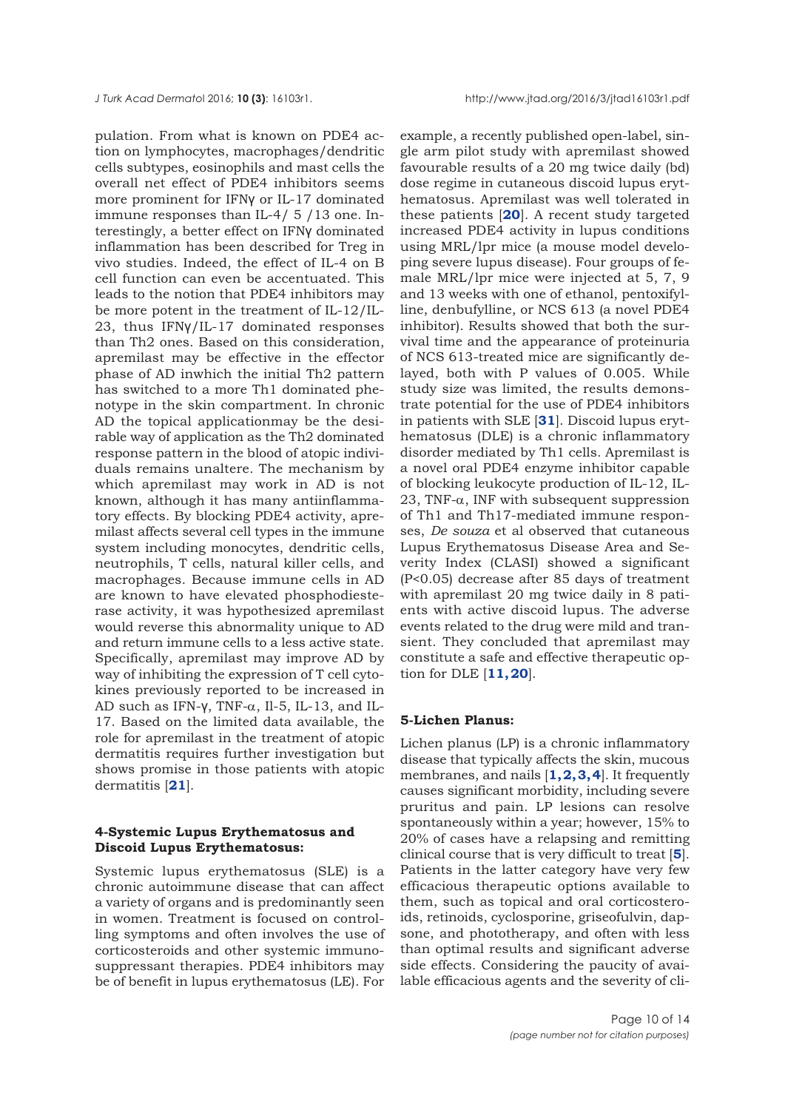pulation. From what is known on PDE4 action on lymphocytes, macrophages/dendritic cells subtypes, eosinophils and mast cells the overall net effect of PDE4 inhibitors seems more prominent for IFNγ or IL-17 dominated immune responses than IL-4/ 5 /13 one. Interestingly, a better effect on IFNγ dominated inflammation has been described for Treg in vivo studies. Indeed, the effect of IL-4 on B cell function can even be accentuated. This leads to the notion that PDE4 inhibitors may be more potent in the treatment of IL-12/IL-23, thus IFNγ/IL-17 dominated responses than Th2 ones. Based on this consideration, apremilast may be effective in the effector phase of AD inwhich the initial Th2 pattern has switched to a more Th1 dominated phenotype in the skin compartment. In chronic AD the topical applicationmay be the desirable way of application as the Th2 dominated response pattern in the blood of atopic individuals remains unaltere. The mechanism by which apremilast may work in AD is not known, although it has many antiinflammatory effects. By blocking PDE4 activity, apremilast affects several cell types in the immune system including monocytes, dendritic cells, neutrophils, T cells, natural killer cells, and macrophages. Because immune cells in AD are known to have elevated phosphodiesterase activity, it was hypothesized apremilast would reverse this abnormality unique to AD and return immune cells to a less active state. Specifically, apremilast may improve AD by way of inhibiting the expression of T cell cytokines previously reported to be increased in AD such as IFN-v, TNF- $\alpha$ , Il-5, IL-13, and IL-17. Based on the limited data available, the role for apremilast in the treatment of atopic dermatitis requires further investigation but shows promise in those patients with atopic dermatitis [**[21](#page-12-0)**].

# **4-Systemic Lupus Erythematosus and Discoid Lupus Erythematosus:**

Systemic lupus erythematosus (SLE) is a chronic autoimmune disease that can affect a variety of organs and is predominantly seen in women. Treatment is focused on controlling symptoms and often involves the use of corticosteroids and other systemic immunosuppressant therapies. PDE4 inhibitors may be of benefit in lupus erythematosus (LE). For

example, a recently published open-label, single arm pilot study with apremilast showed favourable results of a 20 mg twice daily (bd) dose regime in cutaneous discoid lupus erythematosus. Apremilast was well tolerated in these patients [**[20](#page-12-0)**]. A recent study targeted increased PDE4 activity in lupus conditions using MRL/lpr mice (a mouse model developing severe lupus disease). Four groups of female MRL/lpr mice were injected at 5, 7, 9 and 13 weeks with one of ethanol, pentoxifylline, denbufylline, or NCS 613 (a novel PDE4 inhibitor). Results showed that both the survival time and the appearance of proteinuria of NCS 613-treated mice are significantly delayed, both with P values of 0.005. While study size was limited, the results demonstrate potential for the use of PDE4 inhibitors in patients with SLE [**[31](#page-13-0)**]. Discoid lupus erythematosus (DLE) is a chronic inflammatory disorder mediated by Th1 cells. Apremilast is a novel oral PDE4 enzyme inhibitor capable of blocking leukocyte production of IL-12, IL-23, TNF- $\alpha$ , INF with subsequent suppression of Th1 and Th17-mediated immune responses, *De souza* et al observed that cutaneous Lupus Erythematosus Disease Area and Severity Index (CLASI) showed a significant (P<0.05) decrease after 85 days of treatment with apremilast 20 mg twice daily in 8 patients with active discoid lupus. The adverse events related to the drug were mild and transient. They concluded that apremilast may constitute a safe and effective therapeutic option for DLE [**[11, 20](#page-12-0)**].

#### **5-Lichen Planus:**

Lichen planus (LP) is a chronic inflammatory disease that typically affects the skin, mucous membranes, and nails [**[1, 2,](#page-11-0) [3, 4](#page-12-0)**]. It frequently causes significant morbidity, including severe pruritus and pain. LP lesions can resolve spontaneously within a year; however, 15% to 20% of cases have a relapsing and remitting clinical course that is very difficult to treat [**[5](#page-12-0)**]. Patients in the latter category have very few efficacious therapeutic options available to them, such as topical and oral corticosteroids, retinoids, cyclosporine, griseofulvin, dapsone, and phototherapy, and often with less than optimal results and significant adverse side effects. Considering the paucity of available efficacious agents and the severity of cli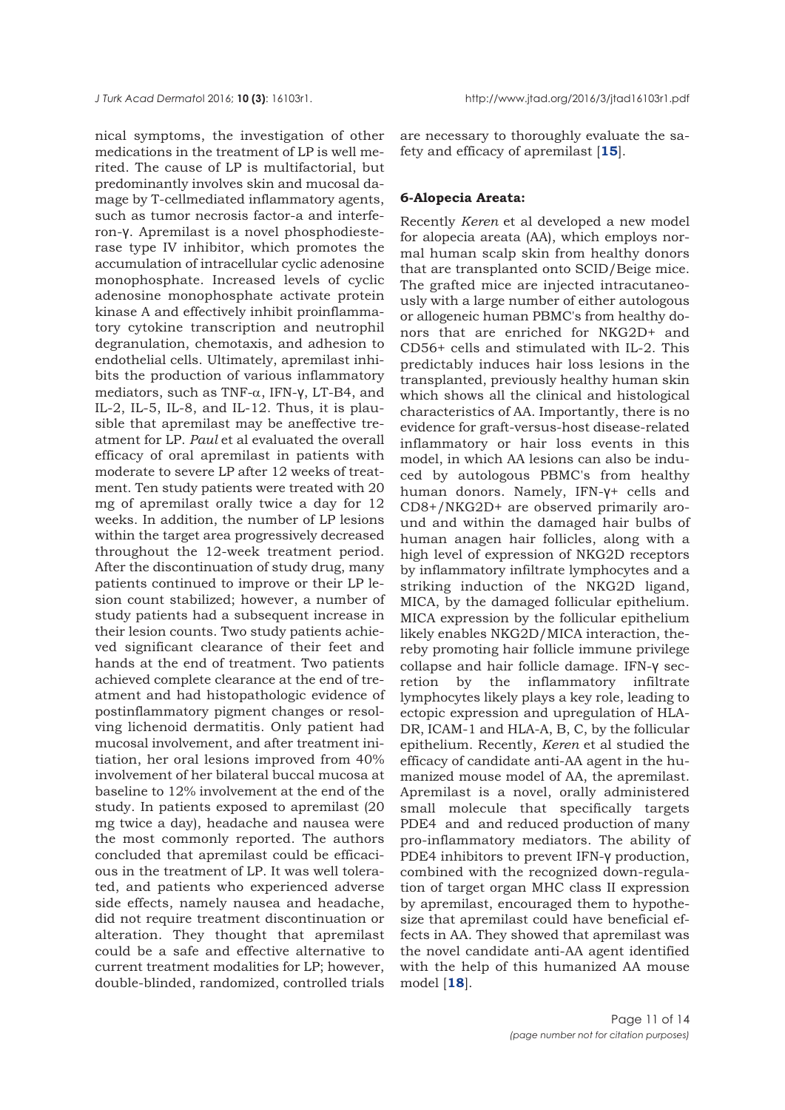nical symptoms, the investigation of other medications in the treatment of LP is well merited. The cause of LP is multifactorial, but predominantly involves skin and mucosal damage by T-cellmediated inflammatory agents, such as tumor necrosis factor-a and interferon-γ. Apremilast is a novel phosphodiesterase type IV inhibitor, which promotes the accumulation of intracellular cyclic adenosine monophosphate. Increased levels of cyclic adenosine monophosphate activate protein kinase A and effectively inhibit proinflammatory cytokine transcription and neutrophil degranulation, chemotaxis, and adhesion to endothelial cells. Ultimately, apremilast inhibits the production of various inflammatory mediators, such as TNF- $\alpha$ , IFN- $\gamma$ , LT-B4, and IL-2, IL-5, IL-8, and IL-12. Thus, it is plausible that apremilast may be aneffective treatment for LP. *Paul* et al evaluated the overall efficacy of oral apremilast in patients with moderate to severe LP after 12 weeks of treatment. Ten study patients were treated with 20 mg of apremilast orally twice a day for 12 weeks. In addition, the number of LP lesions within the target area progressively decreased throughout the 12-week treatment period. After the discontinuation of study drug, many patients continued to improve or their LP lesion count stabilized; however, a number of study patients had a subsequent increase in their lesion counts. Two study patients achieved significant clearance of their feet and hands at the end of treatment. Two patients achieved complete clearance at the end of treatment and had histopathologic evidence of postinflammatory pigment changes or resolving lichenoid dermatitis. Only patient had mucosal involvement, and after treatment initiation, her oral lesions improved from 40% involvement of her bilateral buccal mucosa at baseline to 12% involvement at the end of the study. In patients exposed to apremilast (20 mg twice a day), headache and nausea were the most commonly reported. The authors concluded that apremilast could be efficacious in the treatment of LP. It was well tolerated, and patients who experienced adverse side effects, namely nausea and headache, did not require treatment discontinuation or alteration. They thought that apremilast could be a safe and effective alternative to current treatment modalities for LP; however, double-blinded, randomized, controlled trials

are necessary to thoroughly evaluate the safety and efficacy of apremilast [**[15](#page-12-0)**].

#### **6-Alopecia Areata:**

Recently *Keren* et al developed a new model for alopecia areata (AA), which employs normal human scalp skin from healthy donors that are transplanted onto SCID/Beige mice. The grafted mice are injected intracutaneously with a large number of either autologous or allogeneic human PBMC's from healthy donors that are enriched for NKG2D+ and CD56+ cells and stimulated with IL-2. This predictably induces hair loss lesions in the transplanted, previously healthy human skin which shows all the clinical and histological characteristics of AA. Importantly, there is no evidence for graft-versus-host disease-related inflammatory or hair loss events in this model, in which AA lesions can also be induced by autologous PBMC's from healthy human donors. Namely, IFN-γ+ cells and CD8+/NKG2D+ are observed primarily around and within the damaged hair bulbs of human anagen hair follicles, along with a high level of expression of NKG2D receptors by inflammatory infiltrate lymphocytes and a striking induction of the NKG2D ligand, MICA, by the damaged follicular epithelium. MICA expression by the follicular epithelium likely enables NKG2D/MICA interaction, thereby promoting hair follicle immune privilege collapse and hair follicle damage. IFN-γ secretion by the inflammatory infiltrate lymphocytes likely plays a key role, leading to ectopic expression and upregulation of HLA-DR, ICAM-1 and HLA-A, B, C, by the follicular epithelium. Recently, *Keren* et al studied the efficacy of candidate anti-AA agent in the humanized mouse model of AA, the apremilast. Apremilast is a novel, orally administered small molecule that specifically targets PDE4 and and reduced production of many pro-inflammatory mediators. The ability of PDE4 inhibitors to prevent IFN-γ production, combined with the recognized down-regulation of target organ MHC class II expression by apremilast, encouraged them to hypothesize that apremilast could have beneficial effects in AA. They showed that apremilast was the novel candidate anti-AA agent identified with the help of this humanized AA mouse model [**[18](#page-12-0)**].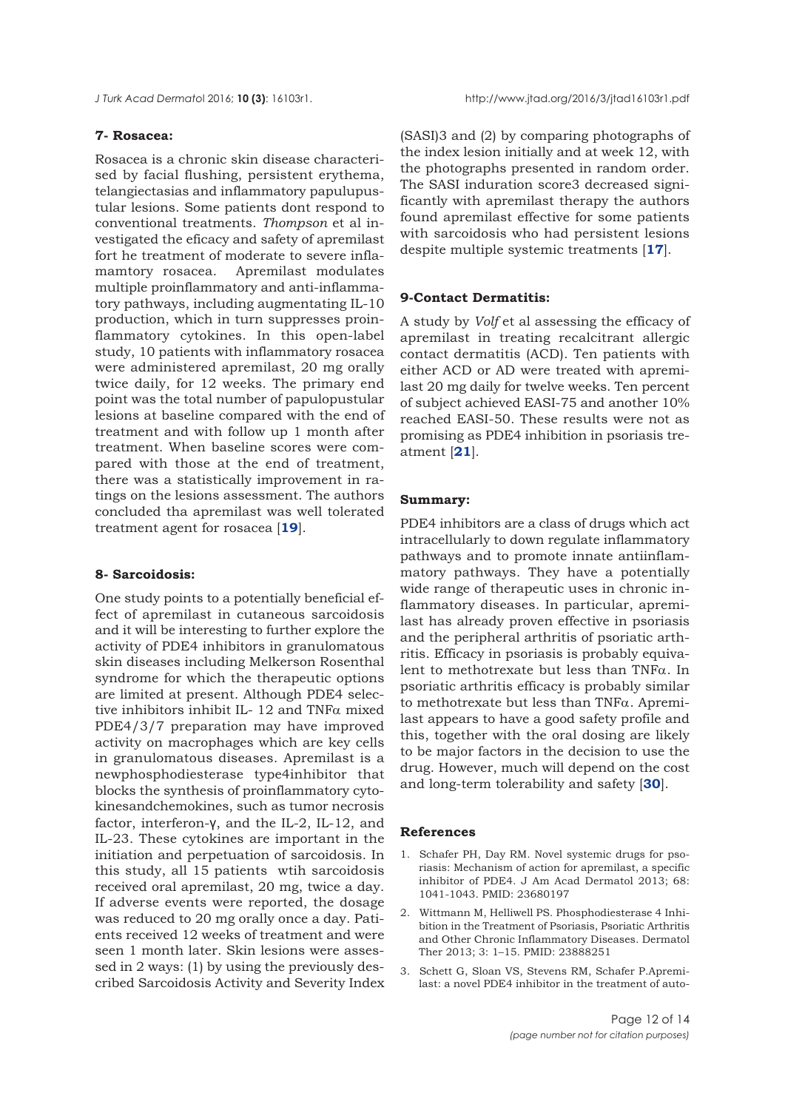# <span id="page-11-0"></span>**7- Rosacea:**

Rosacea is a chronic skin disease characterised by facial flushing, persistent erythema, telangiectasias and inflammatory papulupustular lesions. Some patients dont respond to conventional treatments. *Thompson* et al investigated the eficacy and safety of apremilast fort he treatment of moderate to severe inflamamtory rosacea. Apremilast modulates multiple proinflammatory and anti-inflammatory pathways, including augmentating IL-10 production, which in turn suppresses proinflammatory cytokines. In this open-label study, 10 patients with inflammatory rosacea were administered apremilast, 20 mg orally twice daily, for 12 weeks. The primary end point was the total number of papulopustular lesions at baseline compared with the end of treatment and with follow up 1 month after treatment. When baseline scores were compared with those at the end of treatment, there was a statistically improvement in ratings on the lesions assessment. The authors concluded tha apremilast was well tolerated treatment agent for rosacea [**[19](#page-12-0)**].

## **8- Sarcoidosis:**

One study points to a potentially beneficial effect of apremilast in cutaneous sarcoidosis and it will be interesting to further explore the activity of PDE4 inhibitors in granulomatous skin diseases including Melkerson Rosenthal syndrome for which the therapeutic options are limited at present. Although PDE4 selective inhibitors inhibit IL- 12 and TNF $\alpha$  mixed PDE4/3/7 preparation may have improved activity on macrophages which are key cells in granulomatous diseases. Apremilast is a newphosphodiesterase type4inhibitor that blocks the synthesis of proinflammatory cytokinesandchemokines, such as tumor necrosis factor, interferon-γ, and the IL-2, IL-12, and IL-23. These cytokines are important in the initiation and perpetuation of sarcoidosis. In this study, all 15 patients wtih sarcoidosis received oral apremilast, 20 mg, twice a day. If adverse events were reported, the dosage was reduced to 20 mg orally once a day. Patients received 12 weeks of treatment and were seen 1 month later. Skin lesions were assessed in 2 ways: (1) by using the previously described Sarcoidosis Activity and Severity Index

(SASI)3 and (2) by comparing photographs of the index lesion initially and at week 12, with the photographs presented in random order. The SASI induration score3 decreased significantly with apremilast therapy the authors found apremilast effective for some patients with sarcoidosis who had persistent lesions despite multiple systemic treatments [**[17](#page-12-0)**].

#### **9-Contact Dermatitis:**

A study by *Volf* et al assessing the efficacy of apremilast in treating recalcitrant allergic contact dermatitis (ACD). Ten patients with either ACD or AD were treated with apremilast 20 mg daily for twelve weeks. Ten percent of subject achieved EASI-75 and another 10% reached EASI-50. These results were not as promising as PDE4 inhibition in psoriasis treatment [**[21](#page-12-0)**].

## **Summary:**

PDE4 inhibitors are a class of drugs which act intracellularly to down regulate inflammatory pathways and to promote innate antiinflammatory pathways. They have a potentially wide range of therapeutic uses in chronic inflammatory diseases. In particular, apremilast has already proven effective in psoriasis and the peripheral arthritis of psoriatic arthritis. Efficacy in psoriasis is probably equivalent to methotrexate but less than TNFα. In psoriatic arthritis efficacy is probably similar to methotrexate but less than TNFα. Apremilast appears to have a good safety profile and this, together with the oral dosing are likely to be major factors in the decision to use the drug. However, much will depend on the cost and long-term tolerability and safety [**[30](#page-13-0)**].

## **References**

- 1. Schafer PH, Day RM. Novel systemic drugs for psoriasis: Mechanism of action for apremilast, a specific inhibitor of PDE4. J Am Acad Dermatol 2013; 68: 1041-1043. PMID: 23680197
- 2. Wittmann M, Helliwell PS. Phosphodiesterase 4 Inhibition in the Treatment of Psoriasis, Psoriatic Arthritis and Other Chronic Inflammatory Diseases. Dermatol Ther 2013; 3: 1–15. PMID: 23888251
- 3. Schett G, Sloan VS, Stevens RM, Schafer P.Apremilast: a novel PDE4 inhibitor in the treatment of auto-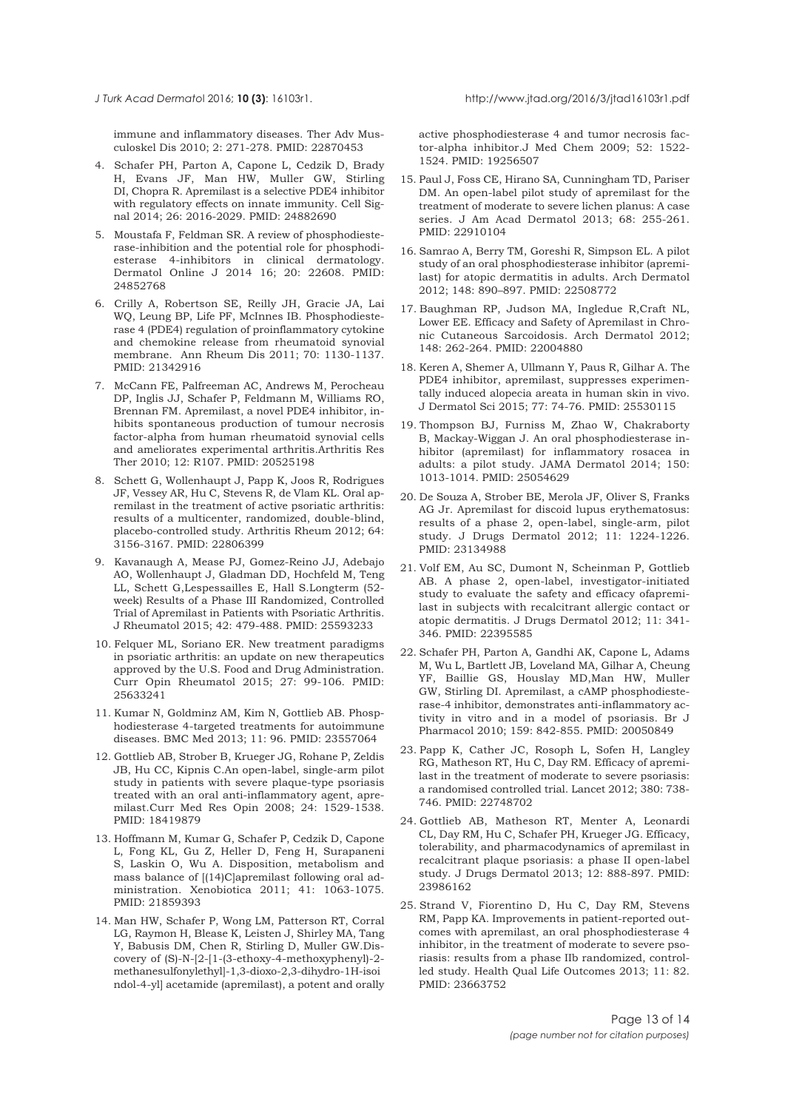immune and inflammatory diseases. Ther Adv Musculoskel Dis 2010; 2: 271-278. PMID: 22870453

- 4. Schafer PH, Parton A, Capone L, Cedzik D, Brady H, Evans JF, Man HW, Muller GW, Stirling DI, Chopra R. Apremilast is a selective PDE4 inhibitor with regulatory effects on innate immunity. Cell Signal 2014; 26: 2016-2029. PMID: 24882690
- 5. Moustafa F, Feldman SR. A review of phosphodiesterase-inhibition and the potential role for phosphodiesterase 4-inhibitors in clinical dermatology. Dermatol Online J 2014 16; 20: 22608. PMID: 24852768
- 6. Crilly A, Robertson SE, Reilly JH, Gracie JA, Lai WQ, Leung BP, Life PF, McInnes IB. Phosphodiesterase 4 (PDE4) regulation of proinflammatory cytokine and chemokine release from rheumatoid synovial membrane. Ann Rheum Dis 2011; 70: 1130-1137. PMID: 21342916
- 7. McCann FE, Palfreeman AC, Andrews M, Perocheau DP, Inglis JJ, Schafer P, Feldmann M, Williams RO, Brennan FM. Apremilast, a novel PDE4 inhibitor, inhibits spontaneous production of tumour necrosis factor-alpha from human rheumatoid synovial cells and ameliorates experimental arthritis.Arthritis Res Ther 2010; 12: R107. PMID: 20525198
- 8. Schett G, Wollenhaupt J, Papp K, Joos R, Rodrigues JF, Vessey AR, Hu C, Stevens R, de Vlam KL. Oral apremilast in the treatment of active psoriatic arthritis: results of a multicenter, randomized, double-blind, placebo-controlled study. Arthritis Rheum 2012; 64: 3156-3167. PMID: 22806399
- 9. Kavanaugh A, Mease PJ, Gomez-Reino JJ, Adebajo AO, Wollenhaupt J, Gladman DD, Hochfeld M, Teng LL, Schett G,Lespessailles E, Hall S.Longterm (52 week) Results of a Phase III Randomized, Controlled Trial of Apremilast in Patients with Psoriatic Arthritis. J Rheumatol 2015; 42: 479-488. PMID: 25593233
- 10. Felquer ML, Soriano ER. New treatment paradigms in psoriatic arthritis: an update on new therapeutics approved by the U.S. Food and Drug Administration. Curr Opin Rheumatol 2015; 27: 99-106. PMID: 25633241
- 11. Kumar N, Goldminz AM, Kim N, Gottlieb AB. Phosphodiesterase 4-targeted treatments for autoimmune diseases. BMC Med 2013; 11: 96. PMID: 23557064
- 12. Gottlieb AB, Strober B, Krueger JG, Rohane P, Zeldis JB, Hu CC, Kipnis C.An open-label, single-arm pilot study in patients with severe plaque-type psoriasis treated with an oral anti-inflammatory agent, apremilast.Curr Med Res Opin 2008; 24: 1529-1538. PMID: 18419879
- 13. Hoffmann M, Kumar G, Schafer P, Cedzik D, Capone L, Fong KL, Gu Z, Heller D, Feng H, Surapaneni S, Laskin O, Wu A. Disposition, metabolism and mass balance of [(14)C]apremilast following oral administration. Xenobiotica 2011; 41: 1063-1075. PMID: 21859393
- 14. Man HW, Schafer P, Wong LM, Patterson RT, Corral LG, Raymon H, Blease K, Leisten J, Shirley MA, Tang Y, Babusis DM, Chen R, Stirling D, Muller GW.Discovery of (S)-N-[2-[1-(3-ethoxy-4-methoxyphenyl)-2 methanesulfonylethyl]-1,3-dioxo-2,3-dihydro-1H-isoi ndol-4-yl] acetamide (apremilast), a potent and orally

active phosphodiesterase 4 and tumor necrosis factor-alpha inhibitor.J Med Chem 2009; 52: 1522- 1524. PMID: 19256507

- 15. Paul J, Foss CE, Hirano SA, Cunningham TD, Pariser DM. An open-label pilot study of apremilast for the treatment of moderate to severe lichen planus: A case series. J Am Acad Dermatol 2013; 68: 255-261. PMID: 22910104
- 16. Samrao A, Berry TM, Goreshi R, Simpson EL. A pilot study of an oral phosphodiesterase inhibitor (apremilast) for atopic dermatitis in adults. Arch Dermatol 2012; 148: 890–897. PMID: 22508772
- 17. Baughman RP, Judson MA, Ingledue R,Craft NL, Lower EE. Efficacy and Safety of Apremilast in Chronic Cutaneous Sarcoidosis. Arch Dermatol 2012; 148: 262-264. PMID: 22004880
- 18. Keren A, Shemer A, Ullmann Y, Paus R, Gilhar A. The PDE4 inhibitor, apremilast, suppresses experimentally induced alopecia areata in human skin in vivo. J Dermatol Sci 2015; 77: 74-76. PMID: 25530115
- 19. Thompson BJ, Furniss M, Zhao W, Chakraborty B, Mackay-Wiggan J. An oral phosphodiesterase inhibitor (apremilast) for inflammatory rosacea in adults: a pilot study. JAMA Dermatol 2014; 150: 1013-1014. PMID: 25054629
- 20. De Souza A, Strober BE, Merola JF, Oliver S, Franks AG Jr. Apremilast for discoid lupus erythematosus: results of a phase 2, open-label, single-arm, pilot study. J Drugs Dermatol 2012; 11: 1224-1226. PMID: 23134988
- 21. Volf EM, Au SC, Dumont N, Scheinman P, Gottlieb AB. A phase 2, open-label, investigator-initiated study to evaluate the safety and efficacy ofapremilast in subjects with recalcitrant allergic contact or atopic dermatitis. J Drugs Dermatol 2012; 11: 341- 346. PMID: 22395585
- 22. Schafer PH, Parton A, Gandhi AK, Capone L, Adams M, Wu L, Bartlett JB, Loveland MA, Gilhar A, Cheung YF, Baillie GS, Houslay MD,Man HW, Muller GW, Stirling DI. Apremilast, a cAMP phosphodiesterase-4 inhibitor, demonstrates anti-inflammatory activity in vitro and in a model of psoriasis. Br J Pharmacol 2010; 159: 842-855. PMID: 20050849
- 23. Papp K, Cather JC, Rosoph L, Sofen H, Langley RG, Matheson RT, Hu C, Day RM. Efficacy of apremilast in the treatment of moderate to severe psoriasis: a randomised controlled trial. Lancet 2012; 380: 738- 746. PMID: 22748702
- 24. Gottlieb AB, Matheson RT, Menter A, Leonardi CL, Day RM, Hu C, Schafer PH, Krueger JG. Efficacy, tolerability, and pharmacodynamics of apremilast in recalcitrant plaque psoriasis: a phase II open-label study. J Drugs Dermatol 2013; 12: 888-897. PMID: 23986162
- 25. Strand V, Fiorentino D, Hu C, Day RM, Stevens RM, Papp KA. Improvements in patient-reported outcomes with apremilast, an oral phosphodiesterase 4 inhibitor, in the treatment of moderate to severe psoriasis: results from a phase IIb randomized, controlled study. Health Qual Life Outcomes 2013; 11: 82. PMID: 23663752

<span id="page-12-0"></span>